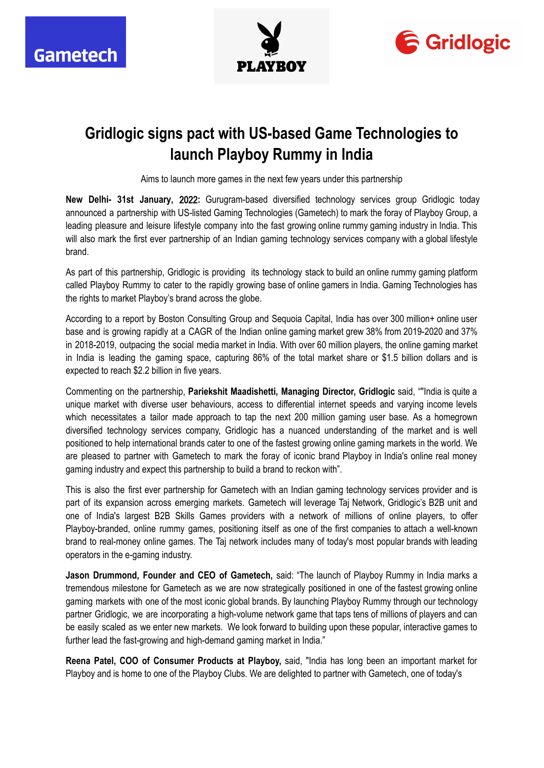





## **Gridlogic signs pact with US-based Game Technologies to launch Playboy Rummy in India**

Aims to launch more games in the next few years under this partnership

**New Delhi- 31st January,** 2022**:** Gurugram-based diversified technology services group Gridlogic today announced a partnership with US-listed Gaming Technologies (Gametech) to mark the foray of Playboy Group, a leading pleasure and leisure lifestyle company into the fast growing online rummy gaming industry in India. This will also mark the first ever partnership of an Indian gaming technology services company with a global lifestyle brand.

As part of this partnership, Gridlogic is providing its technology stack to build an online rummy gaming platform called Playboy Rummy to cater to the rapidly growing base of online gamers in India. Gaming Technologies has the rights to market Playboy's brand across the globe.

According to a report by Boston Consulting Group and Sequoia Capital, India has over 300 million+ online user base and is growing rapidly at a CAGR of the Indian online gaming market grew 38% from 2019-2020 and 37% in 2018-2019, outpacing the social media market in India. With over 60 million players, the online gaming market in India is leading the gaming space, capturing 86% of the total market share or \$1.5 billion dollars and is expected to reach \$2.2 billion in five years.

Commenting on the partnership, **Pariekshit Maadishetti, Managing Director, Gridlogic** said, ""India is quite a unique market with diverse user behaviours, access to differential internet speeds and varying income levels which necessitates a tailor made approach to tap the next 200 million gaming user base. As a homegrown diversified technology services company, Gridlogic has a nuanced understanding of the market and is well positioned to help international brands cater to one of the fastest growing online gaming markets in the world. We are pleased to partner with Gametech to mark the foray of iconic brand Playboy in India's online real money gaming industry and expect this partnership to build a brand to reckon with".

This is also the first ever partnership for Gametech with an Indian gaming technology services provider and is part of its expansion across emerging markets. Gametech will leverage Taj Network, Gridlogic's B2B unit and one of India's largest B2B Skills Games providers with a network of millions of online players, to offer Playboy-branded, online rummy games, positioning itself as one of the first companies to attach a well-known brand to real-money online games. The Taj network includes many of today's most popular brands with leading operators in the e-gaming industry.

**Jason Drummond, Founder and CEO of Gametech,** said: "The launch of Playboy Rummy in India marks a tremendous milestone for Gametech as we are now strategically positioned in one of the fastest growing online gaming markets with one of the most iconic global brands. By launching Playboy Rummy through our technology partner Gridlogic, we are incorporating a high-volume network game that taps tens of millions of players and can be easily scaled as we enter new markets. We look forward to building upon these popular, interactive games to further lead the fast-growing and high-demand gaming market in India."

**Reena Patel, COO of Consumer Products at Playboy,** said, "India has long been an important market for Playboy and is home to one of the Playboy Clubs. We are delighted to partner with Gametech, one of today's